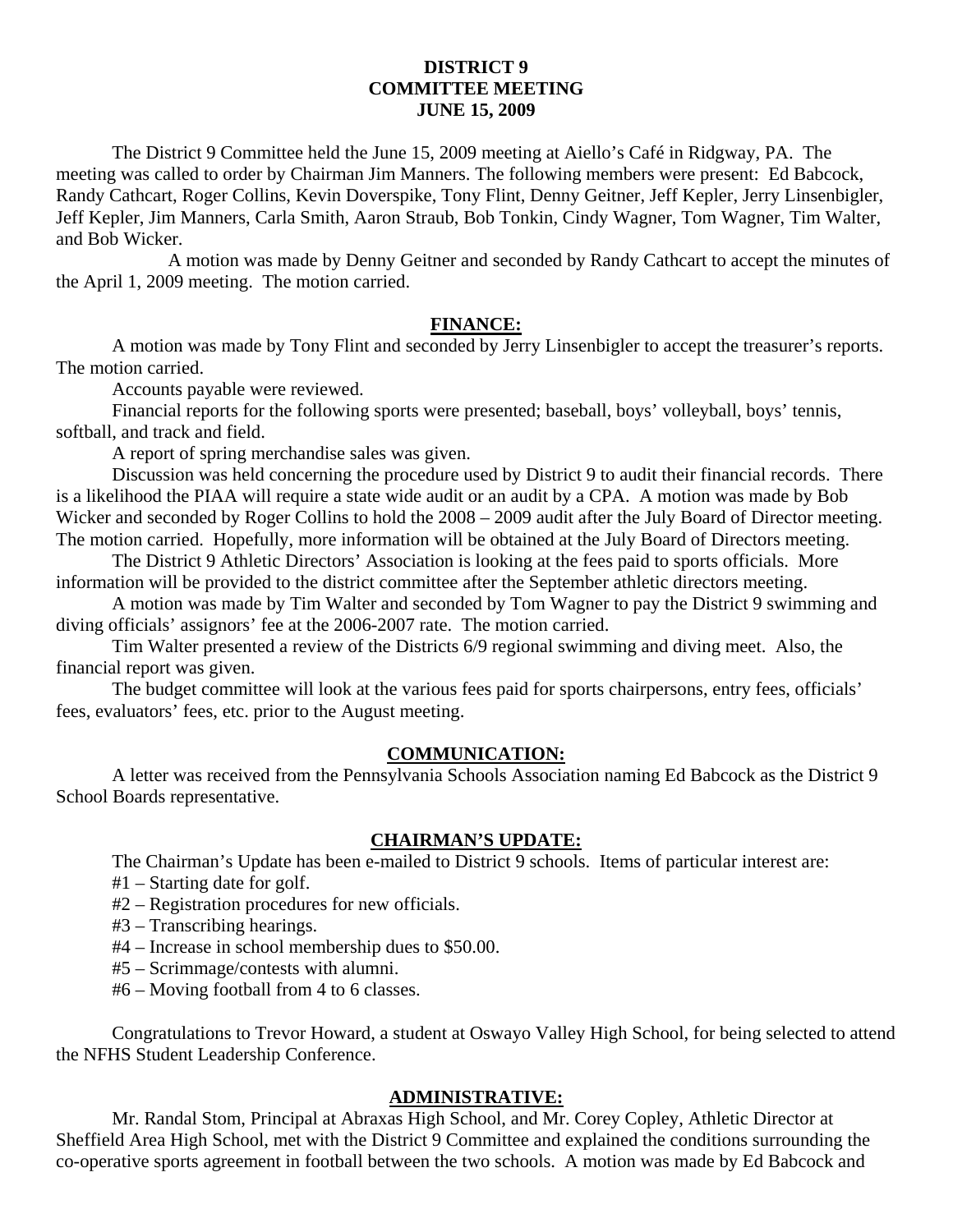# **DISTRICT 9 COMMITTEE MEETING JUNE 15, 2009**

 The District 9 Committee held the June 15, 2009 meeting at Aiello's Café in Ridgway, PA. The meeting was called to order by Chairman Jim Manners. The following members were present: Ed Babcock, Randy Cathcart, Roger Collins, Kevin Doverspike, Tony Flint, Denny Geitner, Jeff Kepler, Jerry Linsenbigler, Jeff Kepler, Jim Manners, Carla Smith, Aaron Straub, Bob Tonkin, Cindy Wagner, Tom Wagner, Tim Walter, and Bob Wicker.

 A motion was made by Denny Geitner and seconded by Randy Cathcart to accept the minutes of the April 1, 2009 meeting. The motion carried.

### **FINANCE:**

A motion was made by Tony Flint and seconded by Jerry Linsenbigler to accept the treasurer's reports. The motion carried.

Accounts payable were reviewed.

 Financial reports for the following sports were presented; baseball, boys' volleyball, boys' tennis, softball, and track and field.

A report of spring merchandise sales was given.

 Discussion was held concerning the procedure used by District 9 to audit their financial records. There is a likelihood the PIAA will require a state wide audit or an audit by a CPA. A motion was made by Bob Wicker and seconded by Roger Collins to hold the  $2008 - 2009$  audit after the July Board of Director meeting. The motion carried. Hopefully, more information will be obtained at the July Board of Directors meeting.

 The District 9 Athletic Directors' Association is looking at the fees paid to sports officials. More information will be provided to the district committee after the September athletic directors meeting.

 A motion was made by Tim Walter and seconded by Tom Wagner to pay the District 9 swimming and diving officials' assignors' fee at the 2006-2007 rate. The motion carried.

 Tim Walter presented a review of the Districts 6/9 regional swimming and diving meet. Also, the financial report was given.

 The budget committee will look at the various fees paid for sports chairpersons, entry fees, officials' fees, evaluators' fees, etc. prior to the August meeting.

# **COMMUNICATION:**

A letter was received from the Pennsylvania Schools Association naming Ed Babcock as the District 9 School Boards representative.

## **CHAIRMAN'S UPDATE:**

The Chairman's Update has been e-mailed to District 9 schools. Items of particular interest are:

#1 – Starting date for golf.

#2 – Registration procedures for new officials.

- #3 Transcribing hearings.
- #4 Increase in school membership dues to \$50.00.
- #5 Scrimmage/contests with alumni.
- #6 Moving football from 4 to 6 classes.

 Congratulations to Trevor Howard, a student at Oswayo Valley High School, for being selected to attend the NFHS Student Leadership Conference.

#### **ADMINISTRATIVE:**

 Mr. Randal Stom, Principal at Abraxas High School, and Mr. Corey Copley, Athletic Director at Sheffield Area High School, met with the District 9 Committee and explained the conditions surrounding the co-operative sports agreement in football between the two schools. A motion was made by Ed Babcock and